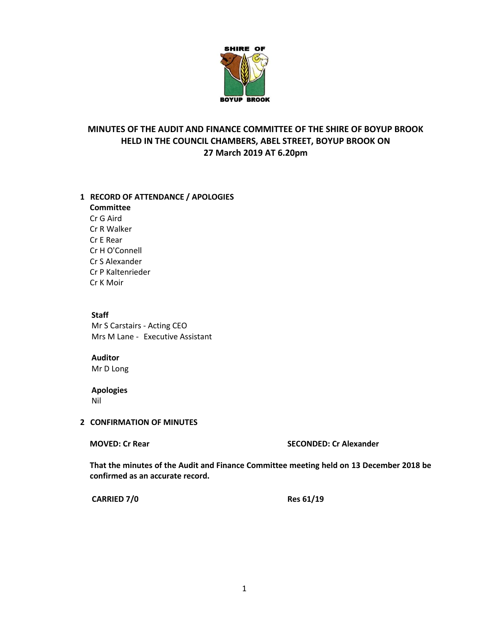

# **MINUTES OF THE AUDIT AND FINANCE COMMITTEE OF THE SHIRE OF BOYUP BROOK HELD IN THE COUNCIL CHAMBERS, ABEL STREET, BOYUP BROOK ON 27 March 2019 AT 6.20pm**

## **1 RECORD OF ATTENDANCE / APOLOGIES**

**Committee** Cr G Aird Cr R Walker Cr E Rear Cr H O'Connell Cr S Alexander Cr P Kaltenrieder Cr K Moir

# **Staff** Mr S Carstairs - Acting CEO

Mrs M Lane - Executive Assistant

**Auditor** Mr D Long

# **Apologies**

Nil

## **2 CONFIRMATION OF MINUTES**

**MOVED: Cr Rear SECONDED: Cr Alexander**

**That the minutes of the Audit and Finance Committee meeting held on 13 December 2018 be confirmed as an accurate record.**

**CARRIED 7/0 Res 61/19**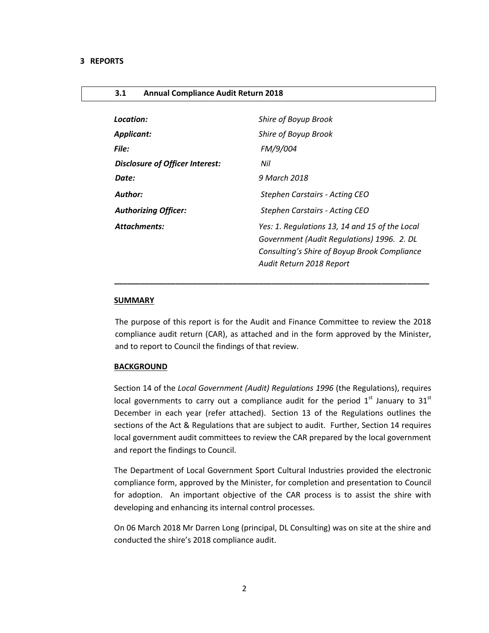### **3.1 Annual Compliance Audit Return 2018**

| Location:                              | Shire of Boyup Brook                                                                                                                                                     |
|----------------------------------------|--------------------------------------------------------------------------------------------------------------------------------------------------------------------------|
| <b>Applicant:</b>                      | Shire of Boyup Brook                                                                                                                                                     |
| File:                                  | FM/9/004                                                                                                                                                                 |
| <b>Disclosure of Officer Interest:</b> | Nil                                                                                                                                                                      |
| Date:                                  | 9 March 2018                                                                                                                                                             |
| Author:                                | Stephen Carstairs - Acting CEO                                                                                                                                           |
| <b>Authorizing Officer:</b>            | Stephen Carstairs - Acting CEO                                                                                                                                           |
| <b>Attachments:</b>                    | Yes: 1. Regulations 13, 14 and 15 of the Local<br>Government (Audit Regulations) 1996. 2. DL<br>Consulting's Shire of Boyup Brook Compliance<br>Audit Return 2018 Report |
|                                        |                                                                                                                                                                          |

### **SUMMARY**

The purpose of this report is for the Audit and Finance Committee to review the 2018 compliance audit return (CAR), as attached and in the form approved by the Minister, and to report to Council the findings of that review.

 *\_\_\_\_\_\_\_\_\_\_\_\_\_\_\_\_\_\_\_\_\_\_\_\_\_\_\_\_\_\_\_\_\_\_\_\_\_\_\_\_\_\_\_\_\_\_\_\_\_\_\_\_\_\_\_\_\_\_\_\_\_\_\_\_\_\_\_\_\_\_\_\_*

#### **BACKGROUND**

Section 14 of the *Local Government (Audit) Regulations 1996* (the Regulations), requires local governments to carry out a compliance audit for the period  $1<sup>st</sup>$  January to  $31<sup>st</sup>$ December in each year (refer attached). Section 13 of the Regulations outlines the sections of the Act & Regulations that are subject to audit. Further, Section 14 requires local government audit committees to review the CAR prepared by the local government and report the findings to Council.

The Department of Local Government Sport Cultural Industries provided the electronic compliance form, approved by the Minister, for completion and presentation to Council for adoption. An important objective of the CAR process is to assist the shire with developing and enhancing its internal control processes.

On 06 March 2018 Mr Darren Long (principal, DL Consulting) was on site at the shire and conducted the shire's 2018 compliance audit.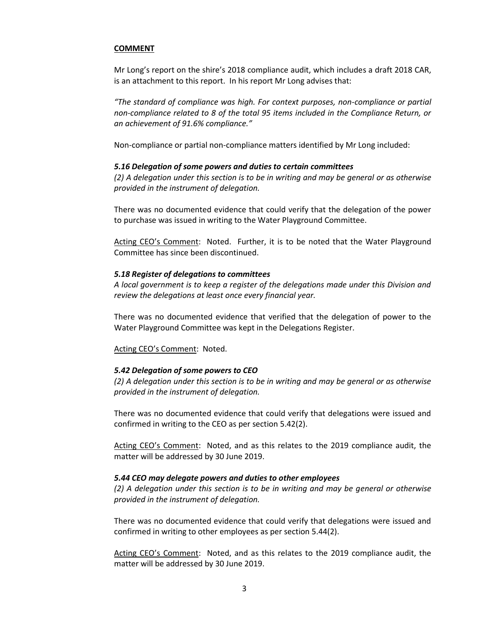## **COMMENT**

Mr Long's report on the shire's 2018 compliance audit, which includes a draft 2018 CAR, is an attachment to this report. In his report Mr Long advises that:

*"The standard of compliance was high. For context purposes, non-compliance or partial non-compliance related to 8 of the total 95 items included in the Compliance Return, or an achievement of 91.6% compliance."*

Non-compliance or partial non-compliance matters identified by Mr Long included:

## *5.16 Delegation of some powers and duties to certain committees*

*(2) A delegation under this section is to be in writing and may be general or as otherwise provided in the instrument of delegation.*

There was no documented evidence that could verify that the delegation of the power to purchase was issued in writing to the Water Playground Committee.

Acting CEO's Comment: Noted. Further, it is to be noted that the Water Playground Committee has since been discontinued.

## *5.18 Register of delegations to committees*

*A local government is to keep a register of the delegations made under this Division and review the delegations at least once every financial year.*

There was no documented evidence that verified that the delegation of power to the Water Playground Committee was kept in the Delegations Register.

Acting CEO's Comment: Noted.

## *5.42 Delegation of some powers to CEO*

*(2) A delegation under this section is to be in writing and may be general or as otherwise provided in the instrument of delegation.*

There was no documented evidence that could verify that delegations were issued and confirmed in writing to the CEO as per section 5.42(2).

Acting CEO's Comment: Noted, and as this relates to the 2019 compliance audit, the matter will be addressed by 30 June 2019.

## *5.44 CEO may delegate powers and duties to other employees*

*(2) A delegation under this section is to be in writing and may be general or otherwise provided in the instrument of delegation.*

There was no documented evidence that could verify that delegations were issued and confirmed in writing to other employees as per section 5.44(2).

Acting CEO's Comment: Noted, and as this relates to the 2019 compliance audit, the matter will be addressed by 30 June 2019.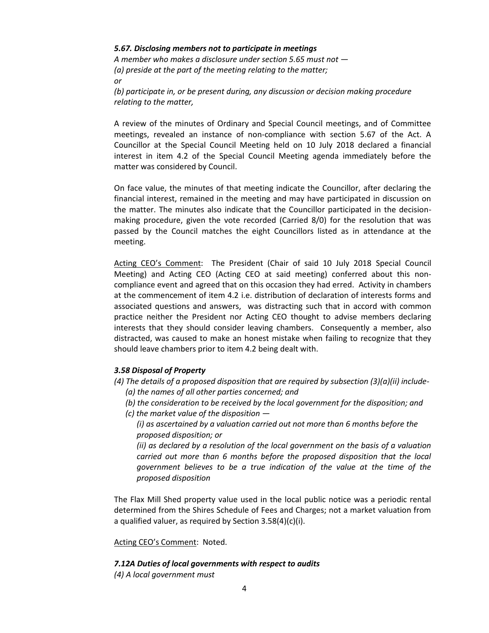## *5.67. Disclosing members not to participate in meetings*

*A member who makes a disclosure under section 5.65 must not — (a) preside at the part of the meeting relating to the matter; or*

*(b) participate in, or be present during, any discussion or decision making procedure relating to the matter,*

A review of the minutes of Ordinary and Special Council meetings, and of Committee meetings, revealed an instance of non-compliance with section 5.67 of the Act. A Councillor at the Special Council Meeting held on 10 July 2018 declared a financial interest in item 4.2 of the Special Council Meeting agenda immediately before the matter was considered by Council.

On face value, the minutes of that meeting indicate the Councillor, after declaring the financial interest, remained in the meeting and may have participated in discussion on the matter. The minutes also indicate that the Councillor participated in the decisionmaking procedure, given the vote recorded (Carried 8/0) for the resolution that was passed by the Council matches the eight Councillors listed as in attendance at the meeting.

Acting CEO's Comment: The President (Chair of said 10 July 2018 Special Council Meeting) and Acting CEO (Acting CEO at said meeting) conferred about this noncompliance event and agreed that on this occasion they had erred. Activity in chambers at the commencement of item 4.2 i.e. distribution of declaration of interests forms and associated questions and answers, was distracting such that in accord with common practice neither the President nor Acting CEO thought to advise members declaring interests that they should consider leaving chambers. Consequently a member, also distracted, was caused to make an honest mistake when failing to recognize that they should leave chambers prior to item 4.2 being dealt with.

## *3.58 Disposal of Property*

- *(4) The details of a proposed disposition that are required by subsection (3)(a)(ii) include- (a) the names of all other parties concerned; and* 
	- *(b) the consideration to be received by the local government for the disposition; and*
	- *(c) the market value of the disposition —*
		- *(i) as ascertained by a valuation carried out not more than 6 months before the proposed disposition; or*

*(ii) as declared by a resolution of the local government on the basis of a valuation carried out more than 6 months before the proposed disposition that the local government believes to be a true indication of the value at the time of the proposed disposition*

The Flax Mill Shed property value used in the local public notice was a periodic rental determined from the Shires Schedule of Fees and Charges; not a market valuation from a qualified valuer, as required by Section 3.58(4)(c)(i).

## Acting CEO's Comment: Noted.

## *7.12A Duties of local governments with respect to audits*

*(4) A local government must*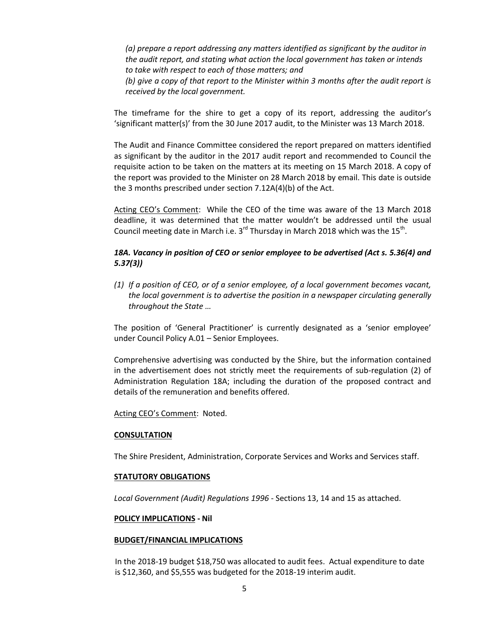*(a) prepare a report addressing any matters identified as significant by the auditor in the audit report, and stating what action the local government has taken or intends to take with respect to each of those matters; and* 

*(b) give a copy of that report to the Minister within 3 months after the audit report is received by the local government.*

The timeframe for the shire to get a copy of its report, addressing the auditor's 'significant matter(s)' from the 30 June 2017 audit, to the Minister was 13 March 2018.

The Audit and Finance Committee considered the report prepared on matters identified as significant by the auditor in the 2017 audit report and recommended to Council the requisite action to be taken on the matters at its meeting on 15 March 2018. A copy of the report was provided to the Minister on 28 March 2018 by email. This date is outside the 3 months prescribed under section 7.12A(4)(b) of the Act.

Acting CEO's Comment: While the CEO of the time was aware of the 13 March 2018 deadline, it was determined that the matter wouldn't be addressed until the usual Council meeting date in March i.e. 3<sup>rd</sup> Thursday in March 2018 which was the 15<sup>th</sup>.

## *18A. Vacancy in position of CEO or senior employee to be advertised (Act s. 5.36(4) and 5.37(3))*

*(1) If a position of CEO, or of a senior employee, of a local government becomes vacant, the local government is to advertise the position in a newspaper circulating generally throughout the State …*

The position of 'General Practitioner' is currently designated as a 'senior employee' under Council Policy A.01 – Senior Employees.

Comprehensive advertising was conducted by the Shire, but the information contained in the advertisement does not strictly meet the requirements of sub-regulation (2) of Administration Regulation 18A; including the duration of the proposed contract and details of the remuneration and benefits offered.

Acting CEO's Comment: Noted.

#### **CONSULTATION**

The Shire President, Administration, Corporate Services and Works and Services staff.

#### **STATUTORY OBLIGATIONS**

*Local Government (Audit) Regulations 1996* - Sections 13, 14 and 15 as attached.

#### **POLICY IMPLICATIONS - Nil**

#### **BUDGET/FINANCIAL IMPLICATIONS**

In the 2018-19 budget \$18,750 was allocated to audit fees. Actual expenditure to date is \$12,360, and \$5,555 was budgeted for the 2018-19 interim audit.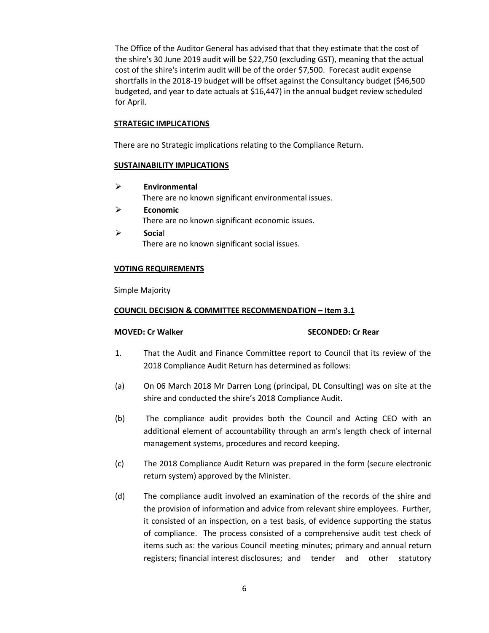The Office of the Auditor General has advised that that they estimate that the cost of the shire's 30 June 2019 audit will be \$22,750 (excluding GST), meaning that the actual cost of the shire's interim audit will be of the order \$7,500. Forecast audit expense shortfalls in the 2018-19 budget will be offset against the Consultancy budget (\$46,500 budgeted, and year to date actuals at \$16,447) in the annual budget review scheduled for April.

## **STRATEGIC IMPLICATIONS**

There are no Strategic implications relating to the Compliance Return.

## **SUSTAINABILITY IMPLICATIONS**

- **Environmental** There are no known significant environmental issues.
- **Economic** There are no known significant economic issues.
- **Socia**l There are no known significant social issues.

## **VOTING REQUIREMENTS**

Simple Majority

## **COUNCIL DECISION & COMMITTEE RECOMMENDATION – Item 3.1**

## **MOVED: Cr Walker SECONDED: Cr Rear**

- 1. That the Audit and Finance Committee report to Council that its review of the 2018 Compliance Audit Return has determined as follows:
- (a) On 06 March 2018 Mr Darren Long (principal, DL Consulting) was on site at the shire and conducted the shire's 2018 Compliance Audit.
- (b) The compliance audit provides both the Council and Acting CEO with an additional element of accountability through an arm's length check of internal management systems, procedures and record keeping.
- (c) The 2018 Compliance Audit Return was prepared in the form (secure electronic return system) approved by the Minister.
- (d) The compliance audit involved an examination of the records of the shire and the provision of information and advice from relevant shire employees. Further, it consisted of an inspection, on a test basis, of evidence supporting the status of compliance. The process consisted of a comprehensive audit test check of items such as: the various Council meeting minutes; primary and annual return registers; financial interest disclosures; and tender and other statutory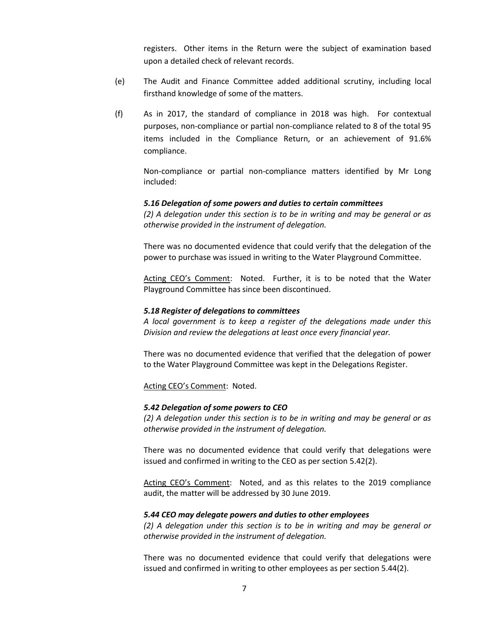registers. Other items in the Return were the subject of examination based upon a detailed check of relevant records.

- (e) The Audit and Finance Committee added additional scrutiny, including local firsthand knowledge of some of the matters.
- (f) As in 2017, the standard of compliance in 2018 was high. For contextual purposes, non-compliance or partial non-compliance related to 8 of the total 95 items included in the Compliance Return, or an achievement of 91.6% compliance.

Non-compliance or partial non-compliance matters identified by Mr Long included:

### *5.16 Delegation of some powers and duties to certain committees*

*(2) A delegation under this section is to be in writing and may be general or as otherwise provided in the instrument of delegation.*

There was no documented evidence that could verify that the delegation of the power to purchase was issued in writing to the Water Playground Committee.

Acting CEO's Comment: Noted. Further, it is to be noted that the Water Playground Committee has since been discontinued.

#### *5.18 Register of delegations to committees*

*A local government is to keep a register of the delegations made under this Division and review the delegations at least once every financial year.*

There was no documented evidence that verified that the delegation of power to the Water Playground Committee was kept in the Delegations Register.

Acting CEO's Comment: Noted.

#### *5.42 Delegation of some powers to CEO*

*(2) A delegation under this section is to be in writing and may be general or as otherwise provided in the instrument of delegation.*

There was no documented evidence that could verify that delegations were issued and confirmed in writing to the CEO as per section 5.42(2).

Acting CEO's Comment: Noted, and as this relates to the 2019 compliance audit, the matter will be addressed by 30 June 2019.

#### *5.44 CEO may delegate powers and duties to other employees*

*(2) A delegation under this section is to be in writing and may be general or otherwise provided in the instrument of delegation.*

There was no documented evidence that could verify that delegations were issued and confirmed in writing to other employees as per section 5.44(2).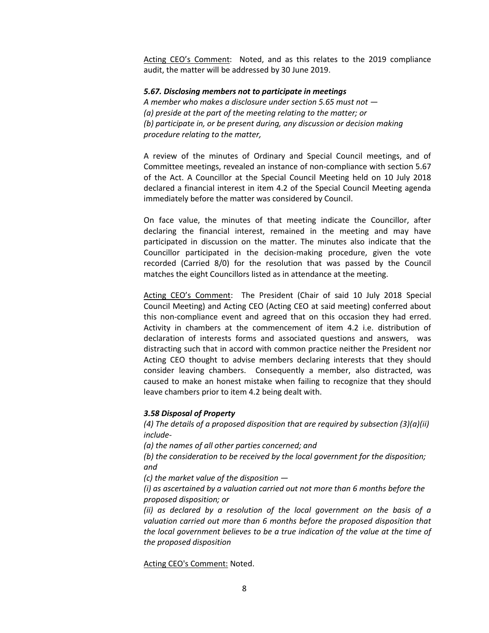Acting CEO's Comment: Noted, and as this relates to the 2019 compliance audit, the matter will be addressed by 30 June 2019.

### *5.67. Disclosing members not to participate in meetings*

*A member who makes a disclosure under section 5.65 must not — (a) preside at the part of the meeting relating to the matter; or (b) participate in, or be present during, any discussion or decision making procedure relating to the matter,*

A review of the minutes of Ordinary and Special Council meetings, and of Committee meetings, revealed an instance of non-compliance with section 5.67 of the Act. A Councillor at the Special Council Meeting held on 10 July 2018 declared a financial interest in item 4.2 of the Special Council Meeting agenda immediately before the matter was considered by Council.

On face value, the minutes of that meeting indicate the Councillor, after declaring the financial interest, remained in the meeting and may have participated in discussion on the matter. The minutes also indicate that the Councillor participated in the decision-making procedure, given the vote recorded (Carried 8/0) for the resolution that was passed by the Council matches the eight Councillors listed as in attendance at the meeting.

Acting CEO's Comment: The President (Chair of said 10 July 2018 Special Council Meeting) and Acting CEO (Acting CEO at said meeting) conferred about this non-compliance event and agreed that on this occasion they had erred. Activity in chambers at the commencement of item 4.2 i.e. distribution of declaration of interests forms and associated questions and answers, was distracting such that in accord with common practice neither the President nor Acting CEO thought to advise members declaring interests that they should consider leaving chambers. Consequently a member, also distracted, was caused to make an honest mistake when failing to recognize that they should leave chambers prior to item 4.2 being dealt with.

### *3.58 Disposal of Property*

*(4) The details of a proposed disposition that are required by subsection (3)(a)(ii) include-*

*(a) the names of all other parties concerned; and* 

*(b) the consideration to be received by the local government for the disposition; and* 

*(c) the market value of the disposition —*

*(i) as ascertained by a valuation carried out not more than 6 months before the proposed disposition; or*

*(ii) as declared by a resolution of the local government on the basis of a valuation carried out more than 6 months before the proposed disposition that the local government believes to be a true indication of the value at the time of the proposed disposition*

Acting CEO's Comment: Noted.